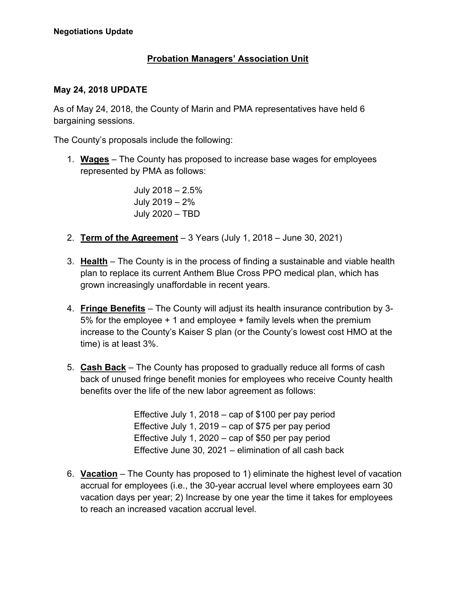## **Probation Managers' Association Unit**

## **May 24, 2018 UPDATE**

As of May 24, 2018, the County of Marin and PMA representatives have held 6 bargaining sessions.

The County's proposals include the following:

1. **Wages** – The County has proposed to increase base wages for employees represented by PMA as follows:

> July 2018 – 2.5% July 2019 – 2% July 2020 – TBD

- 2. **Term of the Agreement** 3 Years (July 1, 2018 June 30, 2021)
- 3. **Health** The County is in the process of finding a sustainable and viable health plan to replace its current Anthem Blue Cross PPO medical plan, which has grown increasingly unaffordable in recent years.
- 4. **Fringe Benefits** The County will adjust its health insurance contribution by 3- 5% for the employee + 1 and employee + family levels when the premium increase to the County's Kaiser S plan (or the County's lowest cost HMO at the time) is at least 3%.
- 5. **Cash Back** The County has proposed to gradually reduce all forms of cash back of unused fringe benefit monies for employees who receive County health benefits over the life of the new labor agreement as follows:

Effective July 1, 2018 – cap of \$100 per pay period Effective July 1, 2019 – cap of \$75 per pay period Effective July 1, 2020 – cap of \$50 per pay period Effective June 30, 2021 – elimination of all cash back

6. **Vacation** – The County has proposed to 1) eliminate the highest level of vacation accrual for employees (i.e., the 30-year accrual level where employees earn 30 vacation days per year; 2) Increase by one year the time it takes for employees to reach an increased vacation accrual level.